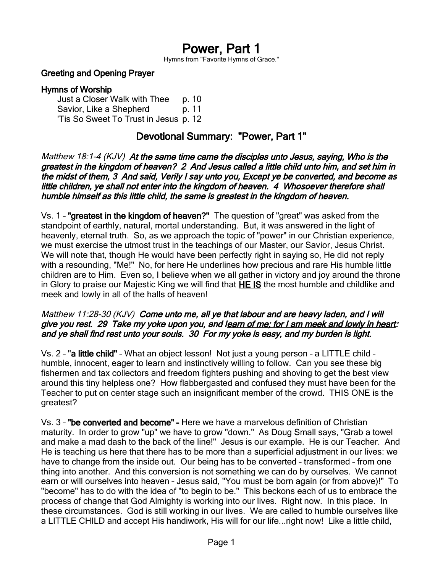# Power, Part 1

Hymns from "Favorite Hymns of Grace."

#### Greeting and Opening Prayer

#### Hymns of Worship

Just a Closer Walk with Thee p. 10 Savior, Like a Shepherd b. 11 'Tis So Sweet To Trust in Jesus p. 12

### Devotional Summary: "Power, Part 1"

Matthew 18:1-4 (KJV) At the same time came the disciples unto Jesus, saying, Who is the greatest in the kingdom of heaven? 2 And Jesus called a little child unto him, and set him in the midst of them, 3 And said, Verily I say unto you, Except ye be converted, and become as little children, ye shall not enter into the kingdom of heaven. 4 Whosoever therefore shall humble himself as this little child, the same is greatest in the kingdom of heaven.

Vs. 1 – "greatest in the kingdom of heaven?" The question of "great" was asked from the standpoint of earthly, natural, mortal understanding. But, it was answered in the light of heavenly, eternal truth. So, as we approach the topic of "power" in our Christian experience, we must exercise the utmost trust in the teachings of our Master, our Savior, Jesus Christ. We will note that, though He would have been perfectly right in saying so, He did not reply with a resounding, "Me!" No, for here He underlines how precious and rare His humble little children are to Him. Even so, I believe when we all gather in victory and joy around the throne in Glory to praise our Majestic King we will find that HE IS the most humble and childlike and meek and lowly in all of the halls of heaven!

#### Matthew 11:28-30 (KJV) Come unto me, all ye that labour and are heavy laden, and I will give you rest. 29 Take my yoke upon you, and learn of me; for I am meek and lowly in heart: and ye shall find rest unto your souls. 30 For my yoke is easy, and my burden is light.

Vs. 2 – "a little child" – What an object lesson! Not just a young person – a LITTLE child – humble, innocent, eager to learn and instinctively willing to follow. Can you see these big fishermen and tax collectors and freedom fighters pushing and shoving to get the best view around this tiny helpless one? How flabbergasted and confused they must have been for the Teacher to put on center stage such an insignificant member of the crowd. THIS ONE is the greatest?

Vs. 3 – "be converted and become" – Here we have a marvelous definition of Christian maturity. In order to grow "up" we have to grow "down." As Doug Small says, "Grab a towel and make a mad dash to the back of the line!" Jesus is our example. He is our Teacher. And He is teaching us here that there has to be more than a superficial adjustment in our lives: we have to change from the inside out. Our being has to be converted – transformed – from one thing into another. And this conversion is not something we can do by ourselves. We cannot earn or will ourselves into heaven – Jesus said, "You must be born again (or from above)!" To "become" has to do with the idea of "to begin to be." This beckons each of us to embrace the process of change that God Almighty is working into our lives. Right now. In this place. In these circumstances. God is still working in our lives. We are called to humble ourselves like a LITTLE CHILD and accept His handiwork, His will for our life...right now! Like a little child,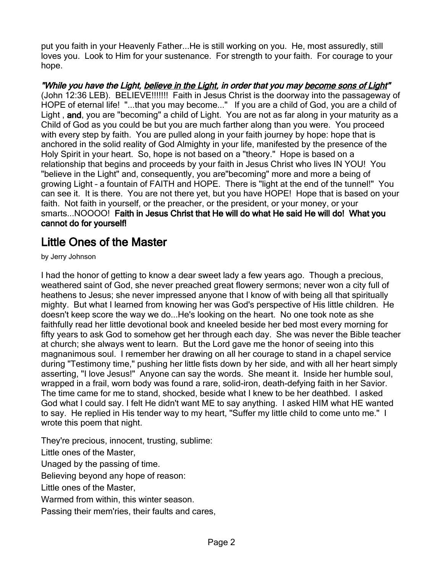put you faith in your Heavenly Father...He is still working on you. He, most assuredly, still loves you. Look to Him for your sustenance. For strength to your faith. For courage to your hope.

"While you have the Light, believe in the Light, in order that you may become sons of Light" (John 12:36 LEB). BELIEVE!!!!!!! Faith in Jesus Christ is the doorway into the passageway of HOPE of eternal life! "...that you may become..." If you are a child of God, you are a child of Light, and, you are "becoming" a child of Light. You are not as far along in your maturity as a Child of God as you could be but you are much farther along than you were. You proceed with every step by faith. You are pulled along in your faith journey by hope: hope that is anchored in the solid reality of God Almighty in your life, manifested by the presence of the Holy Spirit in your heart. So, hope is not based on a "theory." Hope is based on a relationship that begins and proceeds by your faith in Jesus Christ who lives IN YOU! You "believe in the Light" and, consequently, you are"becoming" more and more a being of growing Light – a fountain of FAITH and HOPE. There is "light at the end of the tunnel!" You can see it. It is there. You are not there yet, but you have HOPE! Hope that is based on your faith. Not faith in yourself, or the preacher, or the president, or your money, or your smarts...NOOOO! Faith in Jesus Christ that He will do what He said He will do! What you cannot do for yourself!

## Little Ones of the Master

by Jerry Johnson

I had the honor of getting to know a dear sweet lady a few years ago. Though a precious, weathered saint of God, she never preached great flowery sermons; never won a city full of heathens to Jesus; she never impressed anyone that I know of with being all that spiritually mighty. But what I learned from knowing her was God's perspective of His little children. He doesn't keep score the way we do...He's looking on the heart. No one took note as she faithfully read her little devotional book and kneeled beside her bed most every morning for fifty years to ask God to somehow get her through each day. She was never the Bible teacher at church; she always went to learn. But the Lord gave me the honor of seeing into this magnanimous soul. I remember her drawing on all her courage to stand in a chapel service during "Testimony time," pushing her little fists down by her side, and with all her heart simply asserting, "I love Jesus!" Anyone can say the words. She meant it. Inside her humble soul, wrapped in a frail, worn body was found a rare, solid-iron, death-defying faith in her Savior. The time came for me to stand, shocked, beside what I knew to be her deathbed. I asked God what I could say. I felt He didn't want ME to say anything. I asked HIM what HE wanted to say. He replied in His tender way to my heart, "Suffer my little child to come unto me." I wrote this poem that night.

They're precious, innocent, trusting, sublime:

Little ones of the Master,

Unaged by the passing of time.

Believing beyond any hope of reason:

Little ones of the Master,

Warmed from within, this winter season.

Passing their mem'ries, their faults and cares,